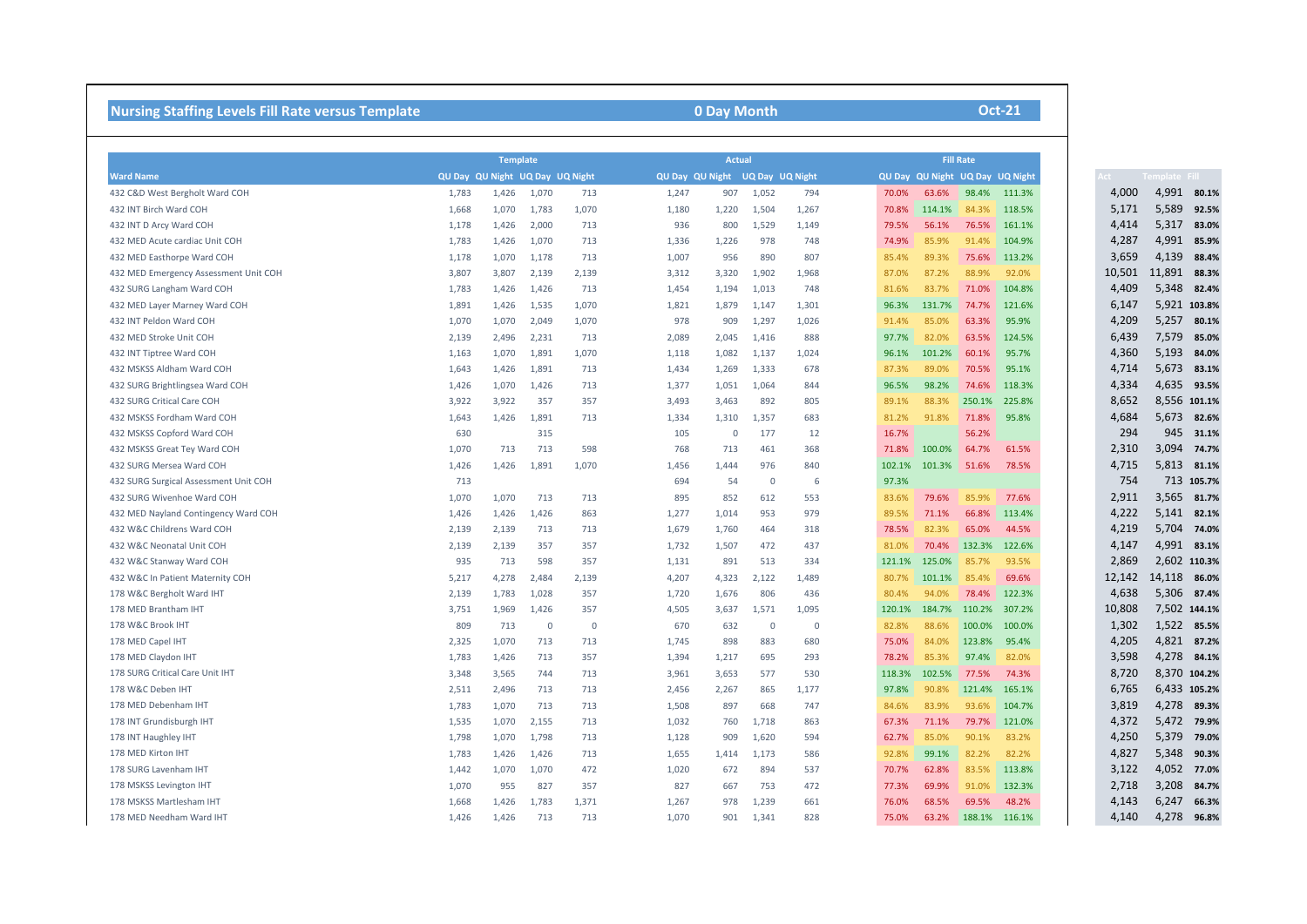| <b>Nursing Staffing Levels Fill Rate versus Template</b> |                                 | 0 Day Month                      |             |             |                                 |                |                |             |        |        | <b>Oct-21</b>                   |        |        |               |
|----------------------------------------------------------|---------------------------------|----------------------------------|-------------|-------------|---------------------------------|----------------|----------------|-------------|--------|--------|---------------------------------|--------|--------|---------------|
|                                                          |                                 | <b>Actual</b><br><b>Template</b> |             |             |                                 |                |                |             |        |        | <b>Fill Rate</b>                |        |        |               |
| <b>Ward Name</b>                                         | QU Day QU Night UQ Day UQ Night |                                  |             |             | QU Day QU Night UQ Day UQ Night |                |                |             |        |        | QU Day QU Night UQ Day UQ Night |        |        | Template Fill |
| 432 C&D West Bergholt Ward COH                           | 1,783                           | 1,426                            | 1,070       | 713         | 1,247                           | 907            | 1,052          | 794         | 70.0%  | 63.6%  | 98.4%                           | 111.3% | 4,000  | 4,991 80.1%   |
| 432 INT Birch Ward COH                                   | 1,668                           | 1,070                            | 1,783       | 1,070       | 1,180                           | 1,220          | 1,504          | 1,267       | 70.8%  | 114.1% | 84.3%                           | 118.5% | 5,171  | 5,589 92.5%   |
| 432 INT D Arcy Ward COH                                  | 1,178                           | 1,426                            | 2,000       | 713         | 936                             | 800            | 1,529          | 1,149       | 79.5%  | 56.1%  | 76.5%                           | 161.1% | 4,414  | 5,317         |
| 432 MED Acute cardiac Unit COH                           | 1,783                           | 1,426                            | 1,070       | 713         | 1,336                           | 1,226          | 978            | 748         | 74.9%  | 85.9%  | 91.4%                           | 104.9% | 4,287  | 4,991 85.9%   |
| 432 MED Easthorpe Ward COH                               | 1,178                           | 1,070                            | 1,178       | 713         | 1,007                           | 956            | 890            | 807         | 85.4%  | 89.3%  | 75.6%                           | 113.2% | 3,659  | 4,139         |
| 432 MED Emergency Assessment Unit COH                    | 3,807                           | 3,807                            | 2,139       | 2,139       | 3,312                           | 3,320          | 1,902          | 1,968       | 87.0%  | 87.2%  | 88.9%                           | 92.0%  | 10,501 | 11,891 88.3%  |
| 432 SURG Langham Ward COH                                | 1,783                           | 1,426                            | 1,426       | 713         | 1,454                           | 1,194          | 1,013          | 748         | 81.6%  | 83.7%  | 71.0%                           | 104.8% | 4,409  | 5,348         |
| 432 MED Layer Marney Ward COH                            | 1,891                           | 1,426                            | 1,535       | 1,070       | 1,821                           | 1,879          | 1,147          | 1,301       | 96.3%  | 131.7% | 74.7%                           | 121.6% | 6,147  | 5,921 103.8%  |
| 432 INT Peldon Ward COH                                  | 1,070                           | 1,070                            | 2,049       | 1,070       | 978                             | 909            | 1,297          | 1,026       | 91.4%  | 85.0%  | 63.3%                           | 95.9%  | 4,209  | 5,257         |
| 432 MED Stroke Unit COH                                  | 2,139                           | 2,496                            | 2,231       | 713         | 2,089                           | 2,045          | 1,416          | 888         | 97.7%  | 82.0%  | 63.5%                           | 124.5% | 6,439  | 7,579 85.0%   |
| 432 INT Tiptree Ward COH                                 | 1,163                           | 1,070                            | 1,891       | 1,070       | 1,118                           | 1,082          | 1,137          | 1,024       | 96.1%  | 101.2% | 60.1%                           | 95.7%  | 4,360  | 5,193         |
| 432 MSKSS Aldham Ward COH                                | 1,643                           | 1,426                            | 1,891       | 713         | 1,434                           | 1,269          | 1,333          | 678         | 87.3%  | 89.0%  | 70.5%                           | 95.1%  | 4,714  | 5,673         |
| 432 SURG Brightlingsea Ward COH                          | 1,426                           | 1,070                            | 1,426       | 713         | 1,377                           | 1,051          | 1,064          | 844         | 96.5%  | 98.2%  | 74.6%                           | 118.3% | 4,334  | 4,635 93.5%   |
| 432 SURG Critical Care COH                               | 3,922                           | 3,922                            | 357         | 357         | 3,493                           | 3,463          | 892            | 805         | 89.1%  | 88.3%  | 250.1%                          | 225.8% | 8,652  | 8,556 101.1%  |
| 432 MSKSS Fordham Ward COH                               | 1,643                           | 1,426                            | 1,891       | 713         | 1,334                           | 1,310          | 1,357          | 683         | 81.2%  | 91.8%  | 71.8%                           | 95.8%  | 4,684  | 5,673 82.6%   |
| 432 MSKSS Copford Ward COH                               | 630                             |                                  | 315         |             | 105                             | $\overline{0}$ | 177            | 12          | 16.7%  |        | 56.2%                           |        | 294    | 945 31.1%     |
| 432 MSKSS Great Tey Ward COH                             | 1,070                           | 713                              | 713         | 598         | 768                             | 713            | 461            | 368         | 71.8%  | 100.0% | 64.7%                           | 61.5%  | 2,310  | 3,094         |
| 432 SURG Mersea Ward COH                                 | 1,426                           | 1,426                            | 1,891       | 1,070       | 1,456                           | 1,444          | 976            | 840         | 102.1% | 101.3% | 51.6%                           | 78.5%  | 4,715  | 5,813 81.1%   |
| 432 SURG Surgical Assessment Unit COH                    | 713                             |                                  |             |             | 694                             | 54             | $\Omega$       | 6           | 97.3%  |        |                                 |        | 754    | 713 105.7%    |
| 432 SURG Wivenhoe Ward COH                               | 1,070                           | 1,070                            | 713         | 713         | 895                             | 852            | 612            | 553         | 83.6%  | 79.6%  | 85.9%                           | 77.6%  | 2,911  | 3,565 81.7%   |
| 432 MED Nayland Contingency Ward COH                     | 1,426                           | 1,426                            | 1,426       | 863         | 1,277                           | 1,014          | 953            | 979         | 89.5%  | 71.1%  | 66.8%                           | 113.4% | 4,222  | 5,141 82.1%   |
| 432 W&C Childrens Ward COH                               | 2,139                           | 2,139                            | 713         | 713         | 1,679                           | 1,760          | 464            | 318         | 78.5%  | 82.3%  | 65.0%                           | 44.5%  | 4,219  | 5,704 74.0%   |
| 432 W&C Neonatal Unit COH                                | 2,139                           | 2,139                            | 357         | 357         | 1,732                           | 1,507          | 472            | 437         | 81.0%  | 70.4%  | 132.3%                          | 122.6% | 4,147  | 4,991 83.1%   |
| 432 W&C Stanway Ward COH                                 | 935                             | 713                              | 598         | 357         | 1,131                           | 891            | 513            | 334         | 121.1% | 125.0% | 85.7%                           | 93.5%  | 2,869  | 2,602 110.3%  |
| 432 W&C In Patient Maternity COH                         | 5,217                           | 4,278                            | 2,484       | 2,139       | 4,207                           | 4,323          | 2,122          | 1,489       | 80.7%  | 101.1% | 85.4%                           | 69.6%  | 12,142 | 14,118 86.0%  |
| 178 W&C Bergholt Ward IHT                                | 2,139                           | 1,783                            | 1,028       | 357         | 1,720                           | 1,676          | 806            | 436         | 80.4%  | 94.0%  | 78.4%                           | 122.3% | 4,638  | 5,306 87.4%   |
| 178 MED Brantham IHT                                     | 3,751                           | 1,969                            | 1,426       | 357         | 4,505                           | 3,637          | 1,571          | 1,095       | 120.1% | 184.7% | 110.2%                          | 307.2% | 10,808 | 7,502 144.1%  |
| 178 W&C Brook IHT                                        | 809                             | 713                              | $\mathbf 0$ | $\mathbf 0$ | 670                             | 632            | $\overline{0}$ | $\mathbf 0$ | 82.8%  | 88.6%  | 100.0%                          | 100.0% | 1,302  | 1,522 85.5%   |
| 178 MED Capel IHT                                        | 2,325                           | 1,070                            | 713         | 713         | 1,745                           | 898            | 883            | 680         | 75.0%  | 84.0%  | 123.8%                          | 95.4%  | 4,205  | 4,821 87.2%   |
| 178 MED Claydon IHT                                      | 1,783                           | 1,426                            | 713         | 357         | 1,394                           | 1,217          | 695            | 293         | 78.2%  | 85.3%  | 97.4%                           | 82.0%  | 3,598  | 4,278 84.1%   |
| 178 SURG Critical Care Unit IHT                          | 3,348                           | 3,565                            | 744         | 713         | 3,961                           | 3,653          | 577            | 530         | 118.3% | 102.5% | 77.5%                           | 74.3%  | 8,720  | 8,370 104.2%  |
| 178 W&C Deben IHT                                        | 2,511                           | 2,496                            | 713         | 713         | 2,456                           | 2,267          | 865            | 1,177       | 97.8%  | 90.8%  | 121.4%                          | 165.1% | 6,765  | 6,433 105.2%  |
| 178 MED Debenham IHT                                     | 1,783                           | 1,070                            | 713         | 713         | 1,508                           | 897            | 668            | 747         | 84.6%  | 83.9%  | 93.6%                           | 104.7% | 3,819  | 4,278 89.3%   |
| 178 INT Grundisburgh IHT                                 | 1,535                           | 1,070                            | 2,155       | 713         | 1,032                           | 760            | 1,718          | 863         | 67.3%  | 71.1%  | 79.7%                           | 121.0% | 4,372  | 5,472 79.9%   |
| 178 INT Haughley IHT                                     | 1,798                           | 1,070                            | 1,798       | 713         | 1,128                           | 909            | 1,620          | 594         | 62.7%  | 85.0%  | 90.1%                           | 83.2%  | 4,250  | 5,379         |
| 178 MED Kirton IHT                                       | 1,783                           | 1,426                            | 1,426       | 713         | 1,655                           | 1,414          | 1,173          | 586         | 92.8%  | 99.1%  | 82.2%                           | 82.2%  | 4,827  | 5,348         |
| 178 SURG Lavenham IHT                                    | 1,442                           | 1,070                            | 1,070       | 472         | 1,020                           | 672            | 894            | 537         | 70.7%  | 62.8%  | 83.5%                           | 113.8% | 3,122  | 4,052 77.0%   |
| 178 MSKSS Levington IHT                                  | 1,070                           | 955                              | 827         | 357         | 827                             | 667            | 753            | 472         | 77.3%  | 69.9%  | 91.0%                           | 132.3% | 2,718  | 3,208         |
| 178 MSKSS Martlesham IHT                                 | 1,668                           | 1,426                            | 1,783       | 1,371       | 1,267                           | 978            | 1,239          | 661         | 76.0%  | 68.5%  | 69.5%                           | 48.2%  | 4,143  | 6,247         |
| 178 MED Needham Ward IHT                                 | 1,426                           | 1,426                            | 713         | 713         | 1,070                           | 901            | 1,341          | 828         | 75.0%  | 63.2%  | 188.1%                          | 116.1% | 4,140  | 4,278         |